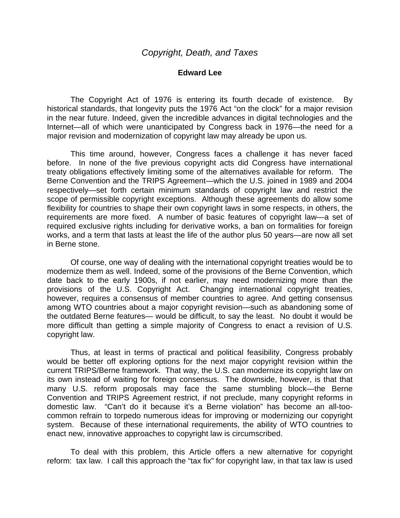## **Edward Lee**

The Copyright Act of 1976 is entering its fourth decade of existence. By historical standards, that longevity puts the 1976 Act "on the clock" for a major revision in the near future. Indeed, given the incredible advances in digital technologies and the Internet—all of which were unanticipated by Congress back in 1976—the need for a major revision and modernization of copyright law may already be upon us.

This time around, however, Congress faces a challenge it has never faced before. In none of the five previous copyright acts did Congress have international treaty obligations effectively limiting some of the alternatives available for reform. The Berne Convention and the TRIPS Agreement—which the U.S. joined in 1989 and 2004 respectively—set forth certain minimum standards of copyright law and restrict the scope of permissible copyright exceptions. Although these agreements do allow some flexibility for countries to shape their own copyright laws in some respects, in others, the requirements are more fixed. A number of basic features of copyright law—a set of required exclusive rights including for derivative works, a ban on formalities for foreign works, and a term that lasts at least the life of the author plus 50 years—are now all set in Berne stone.

Of course, one way of dealing with the international copyright treaties would be to modernize them as well. Indeed, some of the provisions of the Berne Convention, which date back to the early 1900s, if not earlier, may need modernizing more than the provisions of the U.S. Copyright Act. Changing international copyright treaties, however, requires a consensus of member countries to agree. And getting consensus among WTO countries about a major copyright revision—such as abandoning some of the outdated Berne features— would be difficult, to say the least. No doubt it would be more difficult than getting a simple majority of Congress to enact a revision of U.S. copyright law.

Thus, at least in terms of practical and political feasibility, Congress probably would be better off exploring options for the next major copyright revision within the current TRIPS/Berne framework. That way, the U.S. can modernize its copyright law on its own instead of waiting for foreign consensus. The downside, however, is that that many U.S. reform proposals may face the same stumbling block—the Berne Convention and TRIPS Agreement restrict, if not preclude, many copyright reforms in domestic law. "Can't do it because it's a Berne violation" has become an all-toocommon refrain to torpedo numerous ideas for improving or modernizing our copyright system. Because of these international requirements, the ability of WTO countries to enact new, innovative approaches to copyright law is circumscribed.

To deal with this problem, this Article offers a new alternative for copyright reform: tax law. I call this approach the "tax fix" for copyright law, in that tax law is used